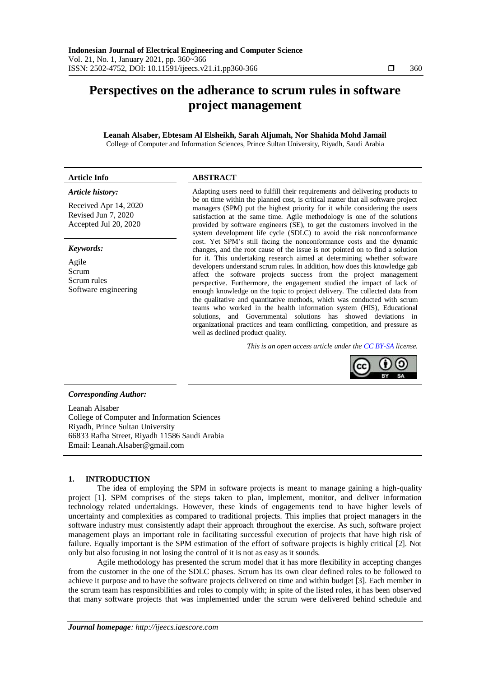# **Perspectives on the adherance to scrum rules in software project management**

#### **Leanah Alsaber, Ebtesam Al Elsheikh, Sarah Aljumah, Nor Shahida Mohd Jamail** College of Computer and Information Sciences, Prince Sultan University, Riyadh, Saudi Arabia

### **Article Info ABSTRACT**

# *Article history:*

Received Apr 14, 2020 Revised Jun 7, 2020 Accepted Jul 20, 2020

#### *Keywords:*

Agile Scrum Scrum rules Software engineering

Adapting users need to fulfill their requirements and delivering products to be on time within the planned cost, is critical matter that all software project managers (SPM) put the highest priority for it while considering the users satisfaction at the same time. Agile methodology is one of the solutions provided by software engineers (SE), to get the customers involved in the system development life cycle (SDLC) to avoid the risk nonconformance cost. Yet SPM's still facing the nonconformance costs and the dynamic changes, and the root cause of the issue is not pointed on to find a solution for it. This undertaking research aimed at determining whether software developers understand scrum rules. In addition, how does this knowledge gab affect the software projects success from the project management perspective. Furthermore, the engagement studied the impact of lack of enough knowledge on the topic to project delivery. The collected data from the qualitative and quantitative methods, which was conducted with scrum teams who worked in the health information system (HIS), Educational solutions, and Governmental solutions has showed deviations in organizational practices and team conflicting, competition, and pressure as well as declined product quality.

*This is an open access article under the [CC BY-SA](https://creativecommons.org/licenses/by-sa/4.0/) license.*



### *Corresponding Author:*

Leanah Alsaber College of Computer and Information Sciences Riyadh, Prince Sultan University 66833 Rafha Street, Riyadh 11586 Saudi Arabia Email: [Leanah.Alsaber@gmail.com](mailto:Leanah.Alsaber@gmail.com)

# **1. INTRODUCTION**

The idea of employing the SPM in software projects is meant to manage gaining a high-quality project [1]. SPM comprises of the steps taken to plan, implement, monitor, and deliver information technology related undertakings. However, these kinds of engagements tend to have higher levels of uncertainty and complexities as compared to traditional projects. This implies that project managers in the software industry must consistently adapt their approach throughout the exercise. As such, software project management plays an important role in facilitating successful execution of projects that have high risk of failure. Equally important is the SPM estimation of the effort of software projects is highly critical [2]. Not only but also focusing in not losing the control of it is not as easy as it sounds.

Agile methodology has presented the scrum model that it has more flexibility in accepting changes from the customer in the one of the SDLC phases. Scrum has its own clear defined roles to be followed to achieve it purpose and to have the software projects delivered on time and within budget [3]. Each member in the scrum team has responsibilities and roles to comply with; in spite of the listed roles, it has been observed that many software projects that was implemented under the scrum were delivered behind schedule and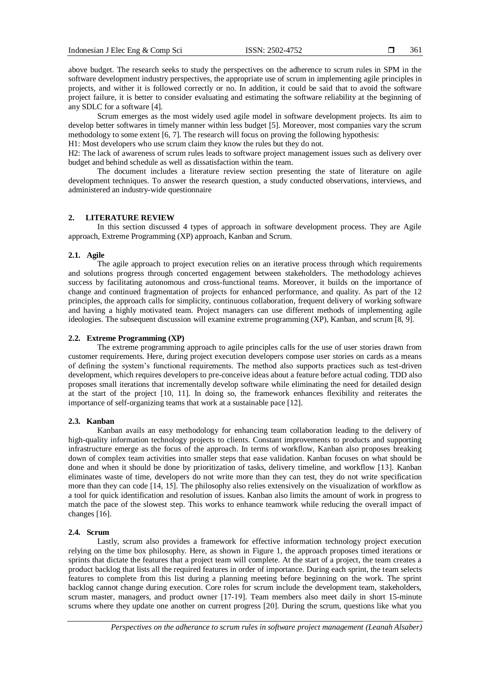361

above budget. The research seeks to study the perspectives on the adherence to scrum rules in SPM in the software development industry perspectives, the appropriate use of scrum in implementing agile principles in projects, and wither it is followed correctly or no. In addition, it could be said that to avoid the software project failure, it is better to consider evaluating and estimating the software reliability at the beginning of any SDLC for a software [4].

Scrum emerges as the most widely used agile model in software development projects. Its aim to develop better softwares in timely manner within less budget [5]. Moreover, most companies vary the scrum methodology to some extent [6, 7]. The research will focus on proving the following hypothesis:

H1: Most developers who use scrum claim they know the rules but they do not.

H2: The lack of awareness of scrum rules leads to software project management issues such as delivery over budget and behind schedule as well as dissatisfaction within the team.

The document includes a literature review section presenting the state of literature on agile development techniques. To answer the research question, a study conducted observations, interviews, and administered an industry-wide questionnaire

# **2. LITERATURE REVIEW**

In this section discussed 4 types of approach in software development process. They are Agile approach, Extreme Programming (XP) approach, Kanban and Scrum.

#### **2.1. Agile**

The agile approach to project execution relies on an iterative process through which requirements and solutions progress through concerted engagement between stakeholders. The methodology achieves success by facilitating autonomous and cross-functional teams. Moreover, it builds on the importance of change and continued fragmentation of projects for enhanced performance, and quality. As part of the 12 principles, the approach calls for simplicity, continuous collaboration, frequent delivery of working software and having a highly motivated team. Project managers can use different methods of implementing agile ideologies. The subsequent discussion will examine extreme programming (XP), Kanban, and scrum [8, 9].

# **2.2. Extreme Programming (XP)**

The extreme programming approach to agile principles calls for the use of user stories drawn from customer requirements. Here, during project execution developers compose user stories on cards as a means of defining the system's functional requirements. The method also supports practices such as test-driven development, which requires developers to pre-conceive ideas about a feature before actual coding. TDD also proposes small iterations that incrementally develop software while eliminating the need for detailed design at the start of the project [10, 11]. In doing so, the framework enhances flexibility and reiterates the importance of self-organizing teams that work at a sustainable pace [12].

#### **2.3. Kanban**

Kanban avails an easy methodology for enhancing team collaboration leading to the delivery of high-quality information technology projects to clients. Constant improvements to products and supporting infrastructure emerge as the focus of the approach. In terms of workflow, Kanban also proposes breaking down of complex team activities into smaller steps that ease validation. Kanban focuses on what should be done and when it should be done by prioritization of tasks, delivery timeline, and workflow [13]. Kanban eliminates waste of time, developers do not write more than they can test, they do not write specification more than they can code [14, 15]. The philosophy also relies extensively on the visualization of workflow as a tool for quick identification and resolution of issues. Kanban also limits the amount of work in progress to match the pace of the slowest step. This works to enhance teamwork while reducing the overall impact of changes [16].

#### **2.4. Scrum**

Lastly, scrum also provides a framework for effective information technology project execution relying on the time box philosophy. Here, as shown in Figure 1, the approach proposes timed iterations or sprints that dictate the features that a project team will complete. At the start of a project, the team creates a product backlog that lists all the required features in order of importance. During each sprint, the team selects features to complete from this list during a planning meeting before beginning on the work. The sprint backlog cannot change during execution. Core roles for scrum include the development team, stakeholders, scrum master, managers, and product owner [17-19]. Team members also meet daily in short 15-minute scrums where they update one another on current progress [20]. During the scrum, questions like what you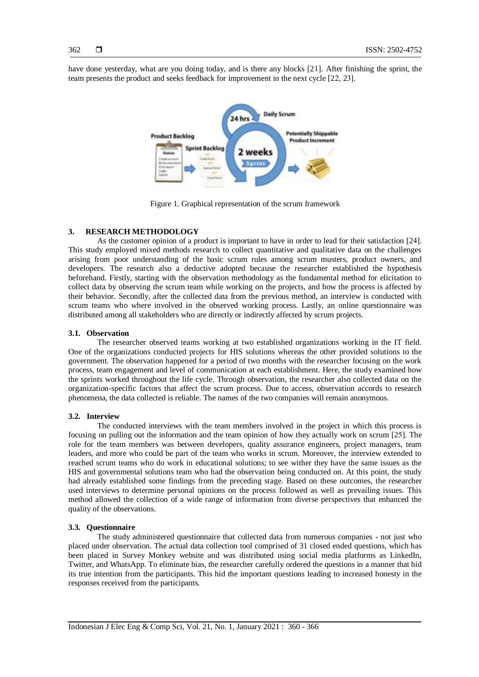362

have done yesterday, what are you doing today, and is there any blocks [21]. After finishing the sprint, the team presents the product and seeks feedback for improvement in the next cycle [22, 23].



Figure 1. Graphical representation of the scrum framework

# **3. RESEARCH METHODOLOGY**

As the customer opinion of a product is important to have in order to lead for their satisfaction [24]. This study employed mixed methods research to collect quantitative and qualitative data on the challenges arising from poor understanding of the basic scrum rules among scrum musters, product owners, and developers. The research also a deductive adopted because the researcher established the hypothesis beforehand. Firstly, starting with the observation methodology as the fundamental method for elicitation to collect data by observing the scrum team while working on the projects, and how the process is affected by their behavior. Secondly, after the collected data from the previous method, an interview is conducted with scrum teams who where involved in the observed working process. Lastly, an online questionnaire was distributed among all stakeholders who are directly or indirectly affected by scrum projects.

# **3.1. Observation**

The researcher observed teams working at two established organizations working in the IT field. One of the organizations conducted projects for HIS solutions whereas the other provided solutions to the government. The observation happened for a period of two months with the researcher focusing on the work process, team engagement and level of communication at each establishment. Here, the study examined how the sprints worked throughout the life cycle. Through observation, the researcher also collected data on the organization-specific factors that affect the scrum process. Due to access, observation accords to research phenomena, the data collected is reliable. The names of the two companies will remain anonymous.

### **3.2. Interview**

The conducted interviews with the team members involved in the project in which this process is focusing on pulling out the information and the team opinion of how they actually work on scrum [25]. The role for the team members was between developers, quality assurance engineers, project managers, team leaders, and more who could be part of the team who works in scrum. Moreover, the interview extended to reached scrum teams who do work in educational solutions; to see wither they have the same issues as the HIS and governmental solutions team who had the observation being conducted on. At this point, the study had already established some findings from the preceding stage. Based on these outcomes, the researcher used interviews to determine personal opinions on the process followed as well as prevailing issues. This method allowed the collection of a wide range of information from diverse perspectives that enhanced the quality of the observations.

### **3.3. Questionnaire**

The study administered questionnaire that collected data from numerous companies - not just who placed under observation. The actual data collection tool comprised of 31 closed ended questions, which has been placed in Survey Monkey website and was distributed using social media platforms as LinkedIn, Twitter, and WhatsApp. To eliminate bias, the researcher carefully ordered the questions in a manner that hid its true intention from the participants. This hid the important questions leading to increased honesty in the responses received from the participants.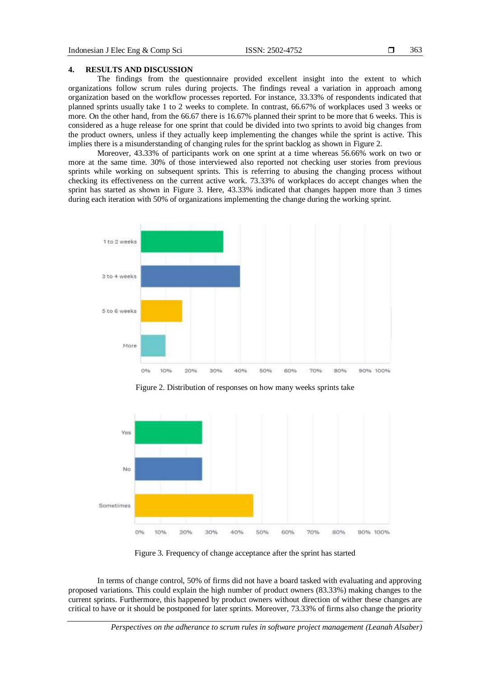#### **4. RESULTS AND DISCUSSION**

The findings from the questionnaire provided excellent insight into the extent to which organizations follow scrum rules during projects. The findings reveal a variation in approach among organization based on the workflow processes reported. For instance, 33.33% of respondents indicated that planned sprints usually take 1 to 2 weeks to complete. In contrast, 66.67% of workplaces used 3 weeks or more. On the other hand, from the 66.67 there is 16.67% planned their sprint to be more that 6 weeks. This is considered as a huge release for one sprint that could be divided into two sprints to avoid big changes from the product owners, unless if they actually keep implementing the changes while the sprint is active. This implies there is a misunderstanding of changing rules for the sprint backlog as shown in Figure 2.

Moreover, 43.33% of participants work on one sprint at a time whereas 56.66% work on two or more at the same time. 30% of those interviewed also reported not checking user stories from previous sprints while working on subsequent sprints. This is referring to abusing the changing process without checking its effectiveness on the current active work. 73.33% of workplaces do accept changes when the sprint has started as shown in Figure 3. Here, 43.33% indicated that changes happen more than 3 times during each iteration with 50% of organizations implementing the change during the working sprint.



Figure 2. Distribution of responses on how many weeks sprints take



Figure 3. Frequency of change acceptance after the sprint has started

In terms of change control, 50% of firms did not have a board tasked with evaluating and approving proposed variations. This could explain the high number of product owners (83.33%) making changes to the current sprints. Furthermore, this happened by product owners without direction of wither these changes are critical to have or it should be postponed for later sprints. Moreover, 73.33% of firms also change the priority

*Perspectives on the adherance to scrum rules in software project management (Leanah Alsaber)*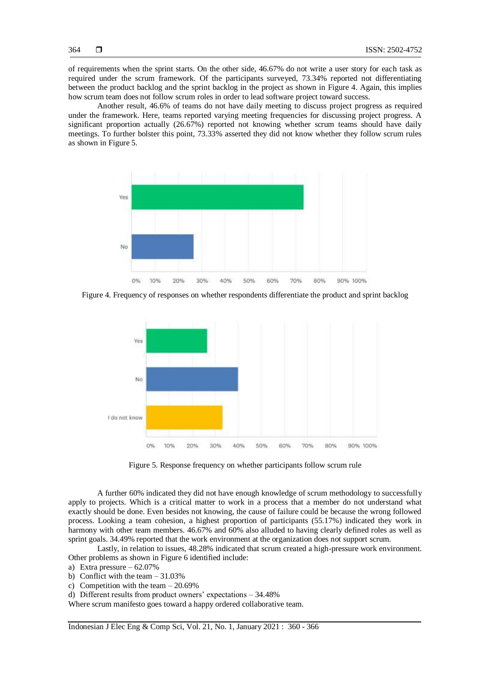of requirements when the sprint starts. On the other side, 46.67% do not write a user story for each task as required under the scrum framework. Of the participants surveyed, 73.34% reported not differentiating between the product backlog and the sprint backlog in the project as shown in Figure 4. Again, this implies how scrum team does not follow scrum roles in order to lead software project toward success.

Another result, 46.6% of teams do not have daily meeting to discuss project progress as required under the framework. Here, teams reported varying meeting frequencies for discussing project progress. A significant proportion actually (26.67%) reported not knowing whether scrum teams should have daily meetings. To further bolster this point, 73.33% asserted they did not know whether they follow scrum rules as shown in Figure 5.



Figure 4. Frequency of responses on whether respondents differentiate the product and sprint backlog



Figure 5. Response frequency on whether participants follow scrum rule

A further 60% indicated they did not have enough knowledge of scrum methodology to successfully apply to projects. Which is a critical matter to work in a process that a member do not understand what exactly should be done. Even besides not knowing, the cause of failure could be because the wrong followed process. Looking a team cohesion, a highest proportion of participants (55.17%) indicated they work in harmony with other team members. 46.67% and 60% also alluded to having clearly defined roles as well as sprint goals. 34.49% reported that the work environment at the organization does not support scrum.

Lastly, in relation to issues, 48.28% indicated that scrum created a high-pressure work environment. Other problems as shown in Figure 6 identified include:

- a) Extra pressure  $-62.07\%$
- b) Conflict with the team  $-31.03\%$
- c) Competition with the team  $-20.69\%$
- d) Different results from product owners' expectations 34.48%

Where scrum manifesto goes toward a happy ordered collaborative team.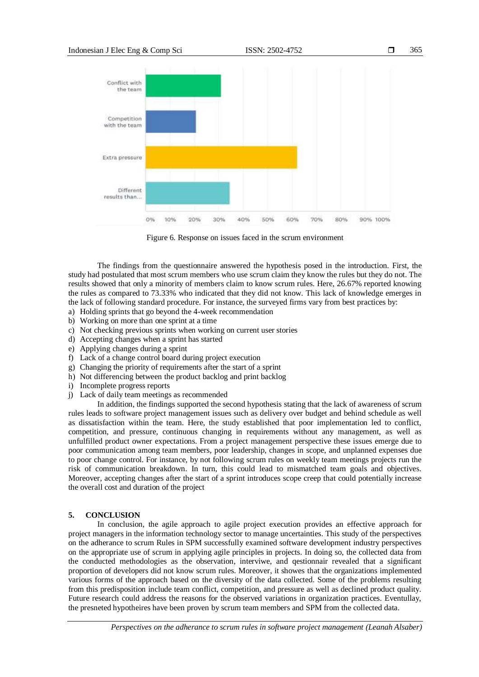

Figure 6. Response on issues faced in the scrum environment

The findings from the questionnaire answered the hypothesis posed in the introduction. First, the study had postulated that most scrum members who use scrum claim they know the rules but they do not. The results showed that only a minority of members claim to know scrum rules. Here, 26.67% reported knowing the rules as compared to 73.33% who indicated that they did not know. This lack of knowledge emerges in the lack of following standard procedure. For instance, the surveyed firms vary from best practices by:

- a) Holding sprints that go beyond the 4-week recommendation
- b) Working on more than one sprint at a time
- c) Not checking previous sprints when working on current user stories
- d) Accepting changes when a sprint has started
- e) Applying changes during a sprint
- f) Lack of a change control board during project execution
- g) Changing the priority of requirements after the start of a sprint
- h) Not differencing between the product backlog and print backlog
- i) Incomplete progress reports
- j) Lack of daily team meetings as recommended

In addition, the findings supported the second hypothesis stating that the lack of awareness of scrum rules leads to software project management issues such as delivery over budget and behind schedule as well as dissatisfaction within the team. Here, the study established that poor implementation led to conflict, competition, and pressure, continuous changing in requirements without any management, as well as unfulfilled product owner expectations. From a project management perspective these issues emerge due to poor communication among team members, poor leadership, changes in scope, and unplanned expenses due to poor change control. For instance, by not following scrum rules on weekly team meetings projects run the risk of communication breakdown. In turn, this could lead to mismatched team goals and objectives. Moreover, accepting changes after the start of a sprint introduces scope creep that could potentially increase the overall cost and duration of the project

# **5. CONCLUSION**

In conclusion, the agile approach to agile project execution provides an effective approach for project managers in the information technology sector to manage uncertainties. This study of the perspectives on the adherance to scrum Rules in SPM successfully examined software development industry perspectives on the appropriate use of scrum in applying agile principles in projects. In doing so, the collected data from the conducted methodologies as the observation, interviwe, and qestionnair revealed that a significant proportion of developers did not know scrum rules. Moreover, it showes that the organizations implemented various forms of the approach based on the diversity of the data collected. Some of the problems resulting from this predisposition include team conflict, competition, and pressure as well as declined product quality. Future research could address the reasons for the observed variations in organization practices. Eventullay, the presneted hypotheires have been proven by scrum team members and SPM from the collected data.